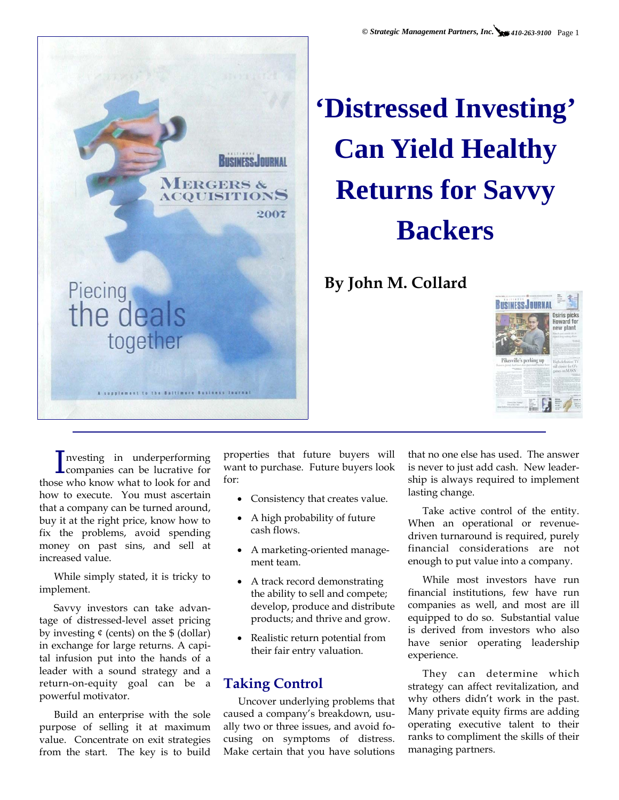*© Strategic Management Partners, Inc. 410-263-9100* Page 1



# **'Distressed Investing' Can Yield Healthy Returns for Savvy Backers**

## **By John M. Collard**



I companies can be lucrative for nvesting in underperforming those who know what to look for and how to execute. You must ascertain that a company can be turned around, buy it at the right price, know how to fix the problems, avoid spending money on past sins, and sell at increased value.

While simply stated, it is tricky to implement.

Savvy investors can take advantage of distressed-level asset pricing by investing  $¢$  (cents) on the  $$(dollar)$ in exchange for large returns. A capital infusion put into the hands of a leader with a sound strategy and a return-on-equity goal can be a powerful motivator.

Build an enterprise with the sole purpose of selling it at maximum value. Concentrate on exit strategies from the start. The key is to build

properties that future buyers will want to purchase. Future buyers look for:

- Consistency that creates value.
- A high probability of future cash flows.
- A marketing-oriented management team.
- A track record demonstrating the ability to sell and compete; develop, produce and distribute products; and thrive and grow.
- Realistic return potential from their fair entry valuation.

### **Taking Control**

Uncover underlying problems that caused a company's breakdown, usually two or three issues, and avoid focusing on symptoms of distress. Make certain that you have solutions

that no one else has used. The answer is never to just add cash. New leadership is always required to implement lasting change.

Take active control of the entity. When an operational or revenuedriven turnaround is required, purely financial considerations are not enough to put value into a company.

While most investors have run financial institutions, few have run companies as well, and most are ill equipped to do so. Substantial value is derived from investors who also have senior operating leadership experience.

They can determine which strategy can affect revitalization, and why others didn't work in the past. Many private equity firms are adding operating executive talent to their ranks to compliment the skills of their managing partners.